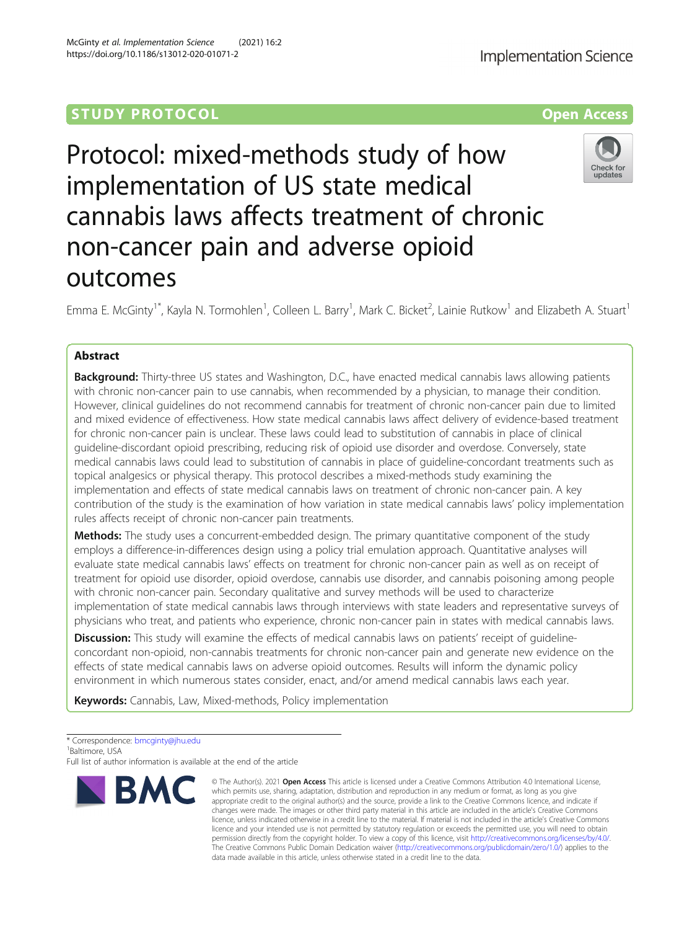# **STUDY PROTOCOL CONSUMING THE RESERVE ACCESS**

# Protocol: mixed-methods study of how implementation of US state medical cannabis laws affects treatment of chronic non-cancer pain and adverse opioid outcomes

Emma E. McGinty<sup>1\*</sup>, Kayla N. Tormohlen<sup>1</sup>, Colleen L. Barry<sup>1</sup>, Mark C. Bicket<sup>2</sup>, Lainie Rutkow<sup>1</sup> and Elizabeth A. Stuart<sup>1</sup>

## Abstract

Background: Thirty-three US states and Washington, D.C., have enacted medical cannabis laws allowing patients with chronic non-cancer pain to use cannabis, when recommended by a physician, to manage their condition. However, clinical guidelines do not recommend cannabis for treatment of chronic non-cancer pain due to limited and mixed evidence of effectiveness. How state medical cannabis laws affect delivery of evidence-based treatment for chronic non-cancer pain is unclear. These laws could lead to substitution of cannabis in place of clinical guideline-discordant opioid prescribing, reducing risk of opioid use disorder and overdose. Conversely, state medical cannabis laws could lead to substitution of cannabis in place of guideline-concordant treatments such as topical analgesics or physical therapy. This protocol describes a mixed-methods study examining the implementation and effects of state medical cannabis laws on treatment of chronic non-cancer pain. A key contribution of the study is the examination of how variation in state medical cannabis laws' policy implementation rules affects receipt of chronic non-cancer pain treatments.

**Methods:** The study uses a concurrent-embedded design. The primary quantitative component of the study employs a difference-in-differences design using a policy trial emulation approach. Quantitative analyses will evaluate state medical cannabis laws' effects on treatment for chronic non-cancer pain as well as on receipt of treatment for opioid use disorder, opioid overdose, cannabis use disorder, and cannabis poisoning among people with chronic non-cancer pain. Secondary qualitative and survey methods will be used to characterize implementation of state medical cannabis laws through interviews with state leaders and representative surveys of physicians who treat, and patients who experience, chronic non-cancer pain in states with medical cannabis laws.

**Discussion:** This study will examine the effects of medical cannabis laws on patients' receipt of quidelineconcordant non-opioid, non-cannabis treatments for chronic non-cancer pain and generate new evidence on the effects of state medical cannabis laws on adverse opioid outcomes. Results will inform the dynamic policy environment in which numerous states consider, enact, and/or amend medical cannabis laws each year.

**Keywords:** Cannabis, Law, Mixed-methods, Policy implementation

\* Correspondence: [bmcginty@jhu.edu](mailto:bmcginty@jhu.edu) <sup>1</sup>

Full list of author information is available at the end of the article



<sup>©</sup> The Author(s), 2021 **Open Access** This article is licensed under a Creative Commons Attribution 4.0 International License, which permits use, sharing, adaptation, distribution and reproduction in any medium or format, as long as you give appropriate credit to the original author(s) and the source, provide a link to the Creative Commons licence, and indicate if changes were made. The images or other third party material in this article are included in the article's Creative Commons licence, unless indicated otherwise in a credit line to the material. If material is not included in the article's Creative Commons licence and your intended use is not permitted by statutory regulation or exceeds the permitted use, you will need to obtain permission directly from the copyright holder. To view a copy of this licence, visit [http://creativecommons.org/licenses/by/4.0/.](http://creativecommons.org/licenses/by/4.0/) The Creative Commons Public Domain Dedication waiver [\(http://creativecommons.org/publicdomain/zero/1.0/](http://creativecommons.org/publicdomain/zero/1.0/)) applies to the data made available in this article, unless otherwise stated in a credit line to the data.





<sup>&</sup>lt;sup>1</sup>Baltimore, USA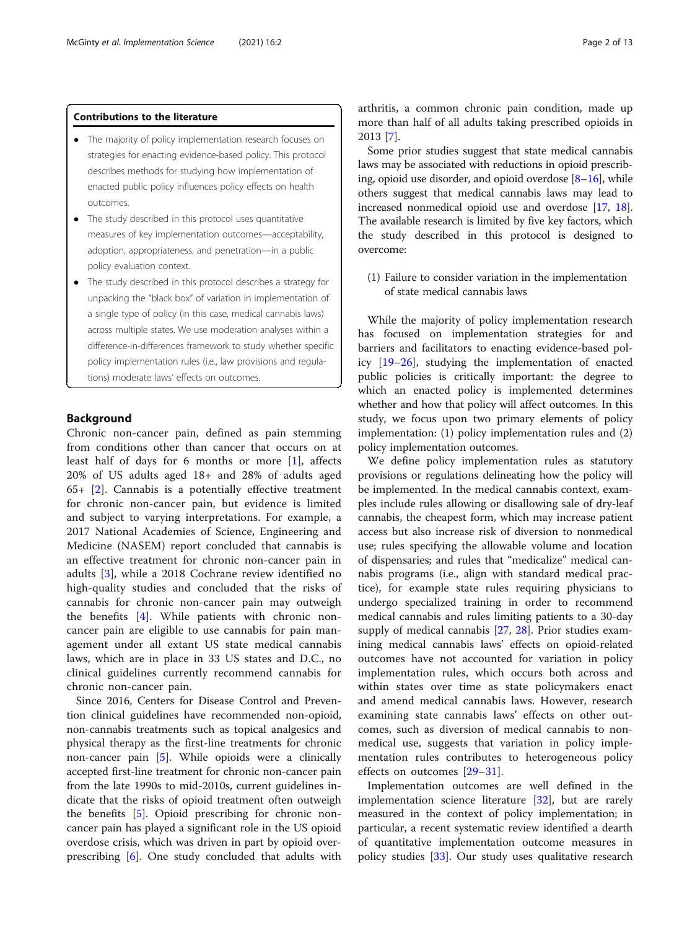## Contributions to the literature

- The majority of policy implementation research focuses on strategies for enacting evidence-based policy. This protocol describes methods for studying how implementation of enacted public policy influences policy effects on health outcomes.
- The study described in this protocol uses quantitative measures of key implementation outcomes—acceptability, adoption, appropriateness, and penetration—in a public policy evaluation context.
- The study described in this protocol describes a strategy for unpacking the "black box" of variation in implementation of a single type of policy (in this case, medical cannabis laws) across multiple states. We use moderation analyses within a difference-in-differences framework to study whether specific policy implementation rules (i.e., law provisions and regulations) moderate laws' effects on outcomes.

## Background

Chronic non-cancer pain, defined as pain stemming from conditions other than cancer that occurs on at least half of days for 6 months or more [\[1](#page-10-0)], affects 20% of US adults aged 18+ and 28% of adults aged 65+ [[2\]](#page-10-0). Cannabis is a potentially effective treatment for chronic non-cancer pain, but evidence is limited and subject to varying interpretations. For example, a 2017 National Academies of Science, Engineering and Medicine (NASEM) report concluded that cannabis is an effective treatment for chronic non-cancer pain in adults [[3\]](#page-10-0), while a 2018 Cochrane review identified no high-quality studies and concluded that the risks of cannabis for chronic non-cancer pain may outweigh the benefits [[4\]](#page-10-0). While patients with chronic noncancer pain are eligible to use cannabis for pain management under all extant US state medical cannabis laws, which are in place in 33 US states and D.C., no clinical guidelines currently recommend cannabis for chronic non-cancer pain.

Since 2016, Centers for Disease Control and Prevention clinical guidelines have recommended non-opioid, non-cannabis treatments such as topical analgesics and physical therapy as the first-line treatments for chronic non-cancer pain [[5\]](#page-10-0). While opioids were a clinically accepted first-line treatment for chronic non-cancer pain from the late 1990s to mid-2010s, current guidelines indicate that the risks of opioid treatment often outweigh the benefits [[5\]](#page-10-0). Opioid prescribing for chronic noncancer pain has played a significant role in the US opioid overdose crisis, which was driven in part by opioid overprescribing [\[6](#page-10-0)]. One study concluded that adults with arthritis, a common chronic pain condition, made up more than half of all adults taking prescribed opioids in 2013 [\[7](#page-10-0)].

Some prior studies suggest that state medical cannabis laws may be associated with reductions in opioid prescribing, opioid use disorder, and opioid overdose  $[8-16]$  $[8-16]$  $[8-16]$ , while others suggest that medical cannabis laws may lead to increased nonmedical opioid use and overdose [[17](#page-11-0), [18](#page-11-0)]. The available research is limited by five key factors, which the study described in this protocol is designed to overcome:

(1) Failure to consider variation in the implementation of state medical cannabis laws

While the majority of policy implementation research has focused on implementation strategies for and barriers and facilitators to enacting evidence-based policy [\[19](#page-11-0)–[26\]](#page-11-0), studying the implementation of enacted public policies is critically important: the degree to which an enacted policy is implemented determines whether and how that policy will affect outcomes. In this study, we focus upon two primary elements of policy implementation: (1) policy implementation rules and (2) policy implementation outcomes.

We define policy implementation rules as statutory provisions or regulations delineating how the policy will be implemented. In the medical cannabis context, examples include rules allowing or disallowing sale of dry-leaf cannabis, the cheapest form, which may increase patient access but also increase risk of diversion to nonmedical use; rules specifying the allowable volume and location of dispensaries; and rules that "medicalize" medical cannabis programs (i.e., align with standard medical practice), for example state rules requiring physicians to undergo specialized training in order to recommend medical cannabis and rules limiting patients to a 30-day supply of medical cannabis [\[27](#page-11-0), [28\]](#page-11-0). Prior studies examining medical cannabis laws' effects on opioid-related outcomes have not accounted for variation in policy implementation rules, which occurs both across and within states over time as state policymakers enact and amend medical cannabis laws. However, research examining state cannabis laws' effects on other outcomes, such as diversion of medical cannabis to nonmedical use, suggests that variation in policy implementation rules contributes to heterogeneous policy effects on outcomes [\[29](#page-11-0)–[31](#page-11-0)].

Implementation outcomes are well defined in the implementation science literature [[32\]](#page-11-0), but are rarely measured in the context of policy implementation; in particular, a recent systematic review identified a dearth of quantitative implementation outcome measures in policy studies [\[33\]](#page-11-0). Our study uses qualitative research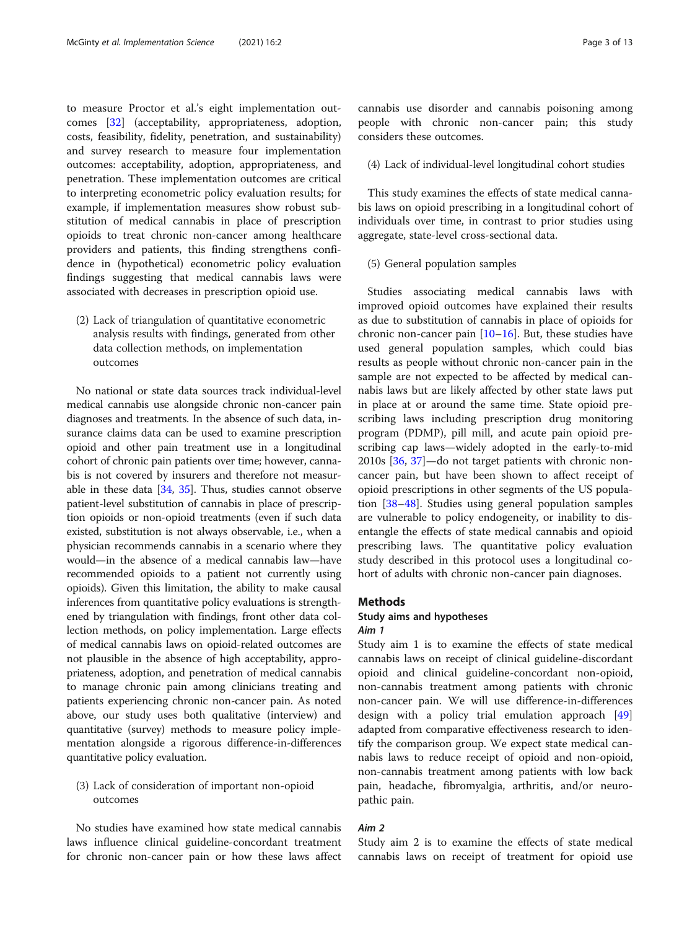to measure Proctor et al.'s eight implementation outcomes [\[32](#page-11-0)] (acceptability, appropriateness, adoption, costs, feasibility, fidelity, penetration, and sustainability) and survey research to measure four implementation outcomes: acceptability, adoption, appropriateness, and penetration. These implementation outcomes are critical to interpreting econometric policy evaluation results; for example, if implementation measures show robust substitution of medical cannabis in place of prescription opioids to treat chronic non-cancer among healthcare providers and patients, this finding strengthens confidence in (hypothetical) econometric policy evaluation findings suggesting that medical cannabis laws were associated with decreases in prescription opioid use.

(2) Lack of triangulation of quantitative econometric analysis results with findings, generated from other data collection methods, on implementation outcomes

No national or state data sources track individual-level medical cannabis use alongside chronic non-cancer pain diagnoses and treatments. In the absence of such data, insurance claims data can be used to examine prescription opioid and other pain treatment use in a longitudinal cohort of chronic pain patients over time; however, cannabis is not covered by insurers and therefore not measurable in these data  $[34, 35]$  $[34, 35]$  $[34, 35]$  $[34, 35]$ . Thus, studies cannot observe patient-level substitution of cannabis in place of prescription opioids or non-opioid treatments (even if such data existed, substitution is not always observable, i.e., when a physician recommends cannabis in a scenario where they would—in the absence of a medical cannabis law—have recommended opioids to a patient not currently using opioids). Given this limitation, the ability to make causal inferences from quantitative policy evaluations is strengthened by triangulation with findings, front other data collection methods, on policy implementation. Large effects of medical cannabis laws on opioid-related outcomes are not plausible in the absence of high acceptability, appropriateness, adoption, and penetration of medical cannabis to manage chronic pain among clinicians treating and patients experiencing chronic non-cancer pain. As noted above, our study uses both qualitative (interview) and quantitative (survey) methods to measure policy implementation alongside a rigorous difference-in-differences quantitative policy evaluation.

## (3) Lack of consideration of important non-opioid outcomes

No studies have examined how state medical cannabis laws influence clinical guideline-concordant treatment for chronic non-cancer pain or how these laws affect

cannabis use disorder and cannabis poisoning among people with chronic non-cancer pain; this study considers these outcomes.

## (4) Lack of individual-level longitudinal cohort studies

This study examines the effects of state medical cannabis laws on opioid prescribing in a longitudinal cohort of individuals over time, in contrast to prior studies using aggregate, state-level cross-sectional data.

## (5) General population samples

Studies associating medical cannabis laws with improved opioid outcomes have explained their results as due to substitution of cannabis in place of opioids for chronic non-cancer pain  $[10-16]$  $[10-16]$  $[10-16]$  $[10-16]$ . But, these studies have used general population samples, which could bias results as people without chronic non-cancer pain in the sample are not expected to be affected by medical cannabis laws but are likely affected by other state laws put in place at or around the same time. State opioid prescribing laws including prescription drug monitoring program (PDMP), pill mill, and acute pain opioid prescribing cap laws—widely adopted in the early-to-mid 2010s [\[36](#page-11-0), [37](#page-11-0)]—do not target patients with chronic noncancer pain, but have been shown to affect receipt of opioid prescriptions in other segments of the US population [[38](#page-11-0)–[48](#page-11-0)]. Studies using general population samples are vulnerable to policy endogeneity, or inability to disentangle the effects of state medical cannabis and opioid prescribing laws. The quantitative policy evaluation study described in this protocol uses a longitudinal cohort of adults with chronic non-cancer pain diagnoses.

#### **Methods**

#### Study aims and hypotheses

## Aim 1

Study aim 1 is to examine the effects of state medical cannabis laws on receipt of clinical guideline-discordant opioid and clinical guideline-concordant non-opioid, non-cannabis treatment among patients with chronic non-cancer pain. We will use difference-in-differences design with a policy trial emulation approach [[49](#page-11-0)] adapted from comparative effectiveness research to identify the comparison group. We expect state medical cannabis laws to reduce receipt of opioid and non-opioid, non-cannabis treatment among patients with low back pain, headache, fibromyalgia, arthritis, and/or neuropathic pain.

## Aim 2

Study aim 2 is to examine the effects of state medical cannabis laws on receipt of treatment for opioid use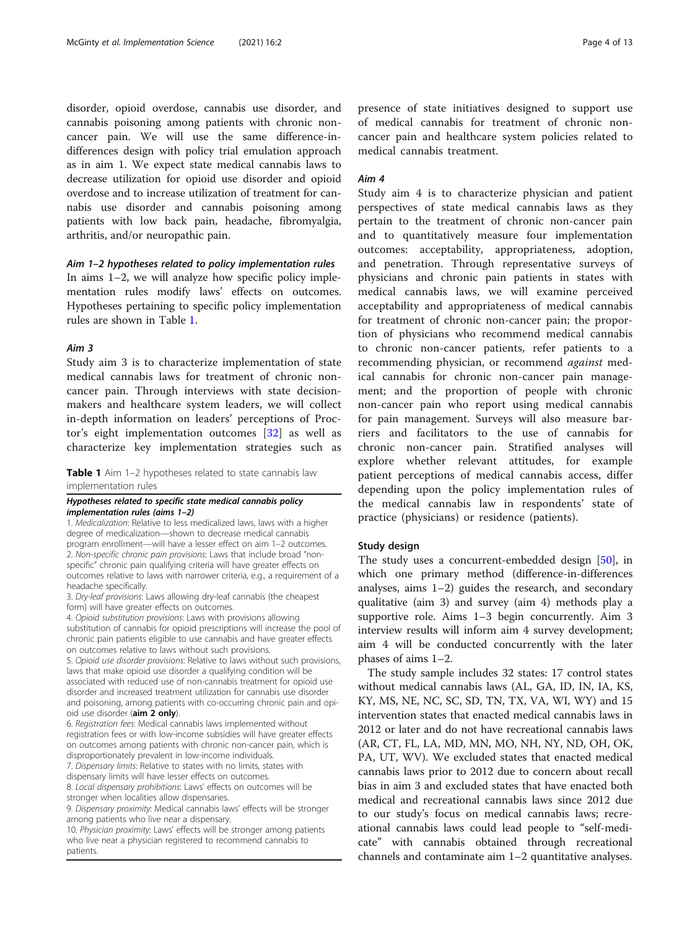<span id="page-3-0"></span>disorder, opioid overdose, cannabis use disorder, and cannabis poisoning among patients with chronic noncancer pain. We will use the same difference-indifferences design with policy trial emulation approach as in aim 1. We expect state medical cannabis laws to decrease utilization for opioid use disorder and opioid overdose and to increase utilization of treatment for cannabis use disorder and cannabis poisoning among patients with low back pain, headache, fibromyalgia, arthritis, and/or neuropathic pain.

## Aim 1–2 hypotheses related to policy implementation rules

In aims  $1-2$ , we will analyze how specific policy implementation rules modify laws' effects on outcomes. Hypotheses pertaining to specific policy implementation rules are shown in Table 1.

#### Aim 3

Study aim 3 is to characterize implementation of state medical cannabis laws for treatment of chronic noncancer pain. Through interviews with state decisionmakers and healthcare system leaders, we will collect in-depth information on leaders' perceptions of Proctor's eight implementation outcomes [\[32](#page-11-0)] as well as characterize key implementation strategies such as

Table 1 Aim 1-2 hypotheses related to state cannabis law implementation rules

#### Hypotheses related to specific state medical cannabis policy implementation rules (aims 1–2)

1. Medicalization: Relative to less medicalized laws, laws with a higher degree of medicalization—shown to decrease medical cannabis program enrollment—will have a lesser effect on aim 1–2 outcomes. 2. Non-specific chronic pain provisions: Laws that include broad "nonspecific" chronic pain qualifying criteria will have greater effects on outcomes relative to laws with narrower criteria, e.g., a requirement of a headache specifically.

3. Dry-leaf provisions: Laws allowing dry-leaf cannabis (the cheapest form) will have greater effects on outcomes.

4. Opioid substitution provisions: Laws with provisions allowing substitution of cannabis for opioid prescriptions will increase the pool of chronic pain patients eligible to use cannabis and have greater effects on outcomes relative to laws without such provisions.

5. Opioid use disorder provisions: Relative to laws without such provisions, laws that make opioid use disorder a qualifying condition will be associated with reduced use of non-cannabis treatment for opioid use disorder and increased treatment utilization for cannabis use disorder and poisoning, among patients with co-occurring chronic pain and opioid use disorder (aim 2 only).

6. Registration fees: Medical cannabis laws implemented without registration fees or with low-income subsidies will have greater effects on outcomes among patients with chronic non-cancer pain, which is disproportionately prevalent in low-income individuals.

7. Dispensary limits: Relative to states with no limits, states with dispensary limits will have lesser effects on outcomes.

8. Local dispensary prohibitions: Laws' effects on outcomes will be stronger when localities allow dispensaries.

9. Dispensary proximity: Medical cannabis laws' effects will be stronger among patients who live near a dispensary.

10. Physician proximity: Laws' effects will be stronger among patients who live near a physician registered to recommend cannabis to patients.

presence of state initiatives designed to support use of medical cannabis for treatment of chronic noncancer pain and healthcare system policies related to medical cannabis treatment.

#### Aim 4

Study aim 4 is to characterize physician and patient perspectives of state medical cannabis laws as they pertain to the treatment of chronic non-cancer pain and to quantitatively measure four implementation outcomes: acceptability, appropriateness, adoption, and penetration. Through representative surveys of physicians and chronic pain patients in states with medical cannabis laws, we will examine perceived acceptability and appropriateness of medical cannabis for treatment of chronic non-cancer pain; the proportion of physicians who recommend medical cannabis to chronic non-cancer patients, refer patients to a recommending physician, or recommend against medical cannabis for chronic non-cancer pain management; and the proportion of people with chronic non-cancer pain who report using medical cannabis for pain management. Surveys will also measure barriers and facilitators to the use of cannabis for chronic non-cancer pain. Stratified analyses will explore whether relevant attitudes, for example patient perceptions of medical cannabis access, differ depending upon the policy implementation rules of the medical cannabis law in respondents' state of practice (physicians) or residence (patients).

## Study design

The study uses a concurrent-embedded design [\[50\]](#page-11-0), in which one primary method (difference-in-differences analyses, aims 1–2) guides the research, and secondary qualitative (aim 3) and survey (aim 4) methods play a supportive role. Aims 1–3 begin concurrently. Aim 3 interview results will inform aim 4 survey development; aim 4 will be conducted concurrently with the later phases of aims 1–2.

The study sample includes 32 states: 17 control states without medical cannabis laws (AL, GA, ID, IN, IA, KS, KY, MS, NE, NC, SC, SD, TN, TX, VA, WI, WY) and 15 intervention states that enacted medical cannabis laws in 2012 or later and do not have recreational cannabis laws (AR, CT, FL, LA, MD, MN, MO, NH, NY, ND, OH, OK, PA, UT, WV). We excluded states that enacted medical cannabis laws prior to 2012 due to concern about recall bias in aim 3 and excluded states that have enacted both medical and recreational cannabis laws since 2012 due to our study's focus on medical cannabis laws; recreational cannabis laws could lead people to "self-medicate" with cannabis obtained through recreational channels and contaminate aim 1–2 quantitative analyses.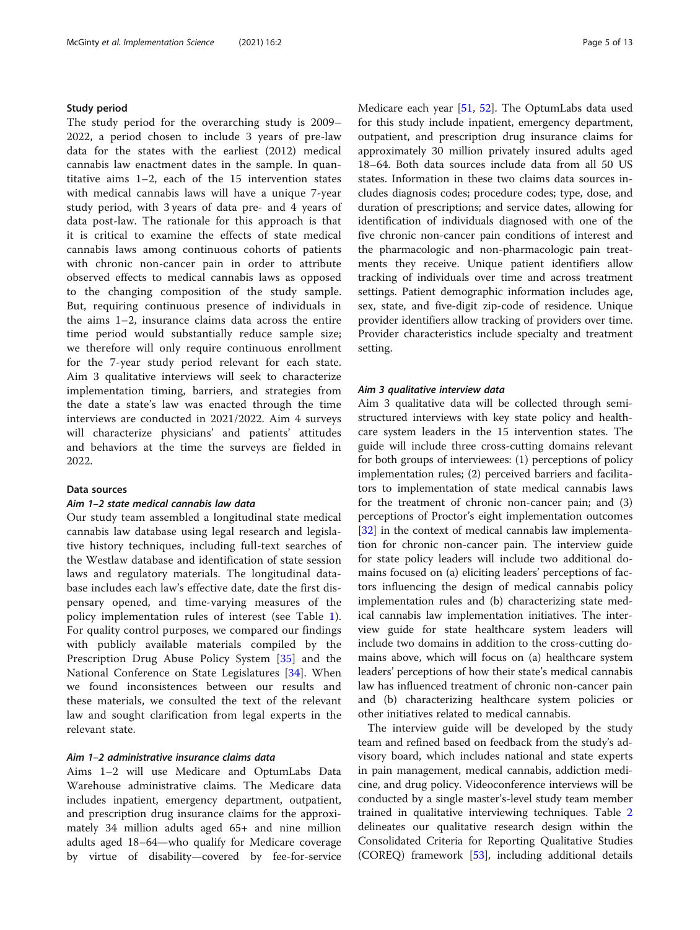## Study period

The study period for the overarching study is 2009– 2022, a period chosen to include 3 years of pre-law data for the states with the earliest (2012) medical cannabis law enactment dates in the sample. In quantitative aims 1–2, each of the 15 intervention states with medical cannabis laws will have a unique 7-year study period, with 3 years of data pre- and 4 years of data post-law. The rationale for this approach is that it is critical to examine the effects of state medical cannabis laws among continuous cohorts of patients with chronic non-cancer pain in order to attribute observed effects to medical cannabis laws as opposed to the changing composition of the study sample. But, requiring continuous presence of individuals in the aims 1–2, insurance claims data across the entire time period would substantially reduce sample size; we therefore will only require continuous enrollment for the 7-year study period relevant for each state. Aim 3 qualitative interviews will seek to characterize implementation timing, barriers, and strategies from the date a state's law was enacted through the time interviews are conducted in 2021/2022. Aim 4 surveys will characterize physicians' and patients' attitudes and behaviors at the time the surveys are fielded in 2022.

## Data sources

## Aim 1–2 state medical cannabis law data

Our study team assembled a longitudinal state medical cannabis law database using legal research and legislative history techniques, including full-text searches of the Westlaw database and identification of state session laws and regulatory materials. The longitudinal database includes each law's effective date, date the first dispensary opened, and time-varying measures of the policy implementation rules of interest (see Table [1](#page-3-0)). For quality control purposes, we compared our findings with publicly available materials compiled by the Prescription Drug Abuse Policy System [\[35](#page-11-0)] and the National Conference on State Legislatures [\[34](#page-11-0)]. When we found inconsistences between our results and these materials, we consulted the text of the relevant law and sought clarification from legal experts in the relevant state.

## Aim 1–2 administrative insurance claims data

Aims 1–2 will use Medicare and OptumLabs Data Warehouse administrative claims. The Medicare data includes inpatient, emergency department, outpatient, and prescription drug insurance claims for the approximately 34 million adults aged 65+ and nine million adults aged 18–64—who qualify for Medicare coverage by virtue of disability—covered by fee-for-service Medicare each year [\[51](#page-11-0), [52\]](#page-11-0). The OptumLabs data used for this study include inpatient, emergency department, outpatient, and prescription drug insurance claims for approximately 30 million privately insured adults aged 18–64. Both data sources include data from all 50 US states. Information in these two claims data sources includes diagnosis codes; procedure codes; type, dose, and duration of prescriptions; and service dates, allowing for identification of individuals diagnosed with one of the five chronic non-cancer pain conditions of interest and the pharmacologic and non-pharmacologic pain treatments they receive. Unique patient identifiers allow tracking of individuals over time and across treatment settings. Patient demographic information includes age, sex, state, and five-digit zip-code of residence. Unique provider identifiers allow tracking of providers over time. Provider characteristics include specialty and treatment setting.

#### Aim 3 qualitative interview data

Aim 3 qualitative data will be collected through semistructured interviews with key state policy and healthcare system leaders in the 15 intervention states. The guide will include three cross-cutting domains relevant for both groups of interviewees: (1) perceptions of policy implementation rules; (2) perceived barriers and facilitators to implementation of state medical cannabis laws for the treatment of chronic non-cancer pain; and (3) perceptions of Proctor's eight implementation outcomes [[32\]](#page-11-0) in the context of medical cannabis law implementation for chronic non-cancer pain. The interview guide for state policy leaders will include two additional domains focused on (a) eliciting leaders' perceptions of factors influencing the design of medical cannabis policy implementation rules and (b) characterizing state medical cannabis law implementation initiatives. The interview guide for state healthcare system leaders will include two domains in addition to the cross-cutting domains above, which will focus on (a) healthcare system leaders' perceptions of how their state's medical cannabis law has influenced treatment of chronic non-cancer pain and (b) characterizing healthcare system policies or other initiatives related to medical cannabis.

The interview guide will be developed by the study team and refined based on feedback from the study's advisory board, which includes national and state experts in pain management, medical cannabis, addiction medicine, and drug policy. Videoconference interviews will be conducted by a single master's-level study team member trained in qualitative interviewing techniques. Table [2](#page-5-0) delineates our qualitative research design within the Consolidated Criteria for Reporting Qualitative Studies (COREQ) framework [[53](#page-11-0)], including additional details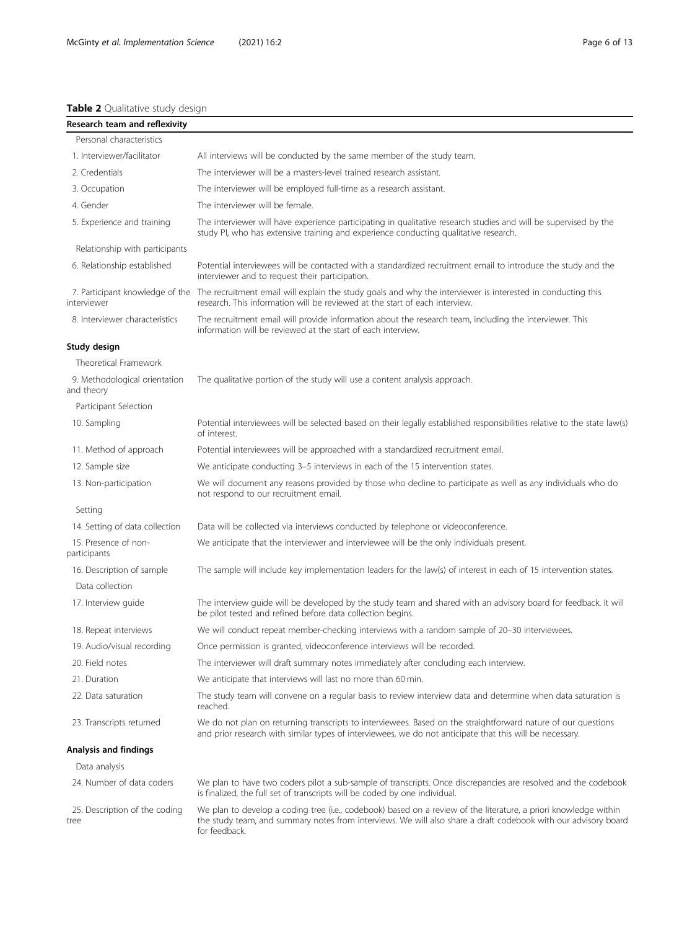## <span id="page-5-0"></span>Table 2 Qualitative study design

Research team and reflexivity

| Personal characteristics                    |                                                                                                                                                                                                                            |  |
|---------------------------------------------|----------------------------------------------------------------------------------------------------------------------------------------------------------------------------------------------------------------------------|--|
| 1. Interviewer/facilitator                  | All interviews will be conducted by the same member of the study team.                                                                                                                                                     |  |
| 2. Credentials                              | The interviewer will be a masters-level trained research assistant.                                                                                                                                                        |  |
| 3. Occupation                               | The interviewer will be employed full-time as a research assistant.                                                                                                                                                        |  |
| 4. Gender                                   | The interviewer will be female.                                                                                                                                                                                            |  |
| 5. Experience and training                  | The interviewer will have experience participating in qualitative research studies and will be supervised by the<br>study PI, who has extensive training and experience conducting qualitative research.                   |  |
| Relationship with participants              |                                                                                                                                                                                                                            |  |
| 6. Relationship established                 | Potential interviewees will be contacted with a standardized recruitment email to introduce the study and the<br>interviewer and to request their participation.                                                           |  |
| interviewer                                 | 7. Participant knowledge of the The recruitment email will explain the study goals and why the interviewer is interested in conducting this<br>research. This information will be reviewed at the start of each interview. |  |
| 8. Interviewer characteristics              | The recruitment email will provide information about the research team, including the interviewer. This<br>information will be reviewed at the start of each interview.                                                    |  |
| Study design                                |                                                                                                                                                                                                                            |  |
| Theoretical Framework                       |                                                                                                                                                                                                                            |  |
| 9. Methodological orientation<br>and theory | The qualitative portion of the study will use a content analysis approach.                                                                                                                                                 |  |
| Participant Selection                       |                                                                                                                                                                                                                            |  |
| 10. Sampling                                | Potential interviewees will be selected based on their legally established responsibilities relative to the state law(s)<br>of interest.                                                                                   |  |
| 11. Method of approach                      | Potential interviewees will be approached with a standardized recruitment email.                                                                                                                                           |  |
| 12. Sample size                             | We anticipate conducting 3-5 interviews in each of the 15 intervention states.                                                                                                                                             |  |
| 13. Non-participation                       | We will document any reasons provided by those who decline to participate as well as any individuals who do<br>not respond to our recruitment email.                                                                       |  |
| Setting                                     |                                                                                                                                                                                                                            |  |
| 14. Setting of data collection              | Data will be collected via interviews conducted by telephone or videoconference.                                                                                                                                           |  |
| 15. Presence of non-<br>participants        | We anticipate that the interviewer and interviewee will be the only individuals present.                                                                                                                                   |  |
| 16. Description of sample                   | The sample will include key implementation leaders for the law(s) of interest in each of 15 intervention states.                                                                                                           |  |
| Data collection                             |                                                                                                                                                                                                                            |  |
| 17. Interview guide                         | The interview guide will be developed by the study team and shared with an advisory board for feedback. It will<br>be pilot tested and refined before data collection begins.                                              |  |
| 18. Repeat interviews                       | We will conduct repeat member-checking interviews with a random sample of 20–30 interviewees.                                                                                                                              |  |
| 19. Audio/visual recording                  | Once permission is granted, videoconference interviews will be recorded.                                                                                                                                                   |  |
| 20. Field notes                             | The interviewer will draft summary notes immediately after concluding each interview.                                                                                                                                      |  |
| 21. Duration                                | We anticipate that interviews will last no more than 60 min.                                                                                                                                                               |  |
| 22. Data saturation                         | The study team will convene on a regular basis to review interview data and determine when data saturation is<br>reached.                                                                                                  |  |
| 23. Transcripts returned                    | We do not plan on returning transcripts to interviewees. Based on the straightforward nature of our questions<br>and prior research with similar types of interviewees, we do not anticipate that this will be necessary.  |  |
| Analysis and findings                       |                                                                                                                                                                                                                            |  |
| Data analysis                               |                                                                                                                                                                                                                            |  |
| 24. Number of data coders                   | We plan to have two coders pilot a sub-sample of transcripts. Once discrepancies are resolved and the codebook<br>is finalized, the full set of transcripts will be coded by one individual.                               |  |
|                                             |                                                                                                                                                                                                                            |  |

25. Description of the coding tree We plan to develop a coding tree (i.e., codebook) based on a review of the literature, a priori knowledge within the study team, and summary notes from interviews. We will also share a draft codebook with our advisory board for feedback.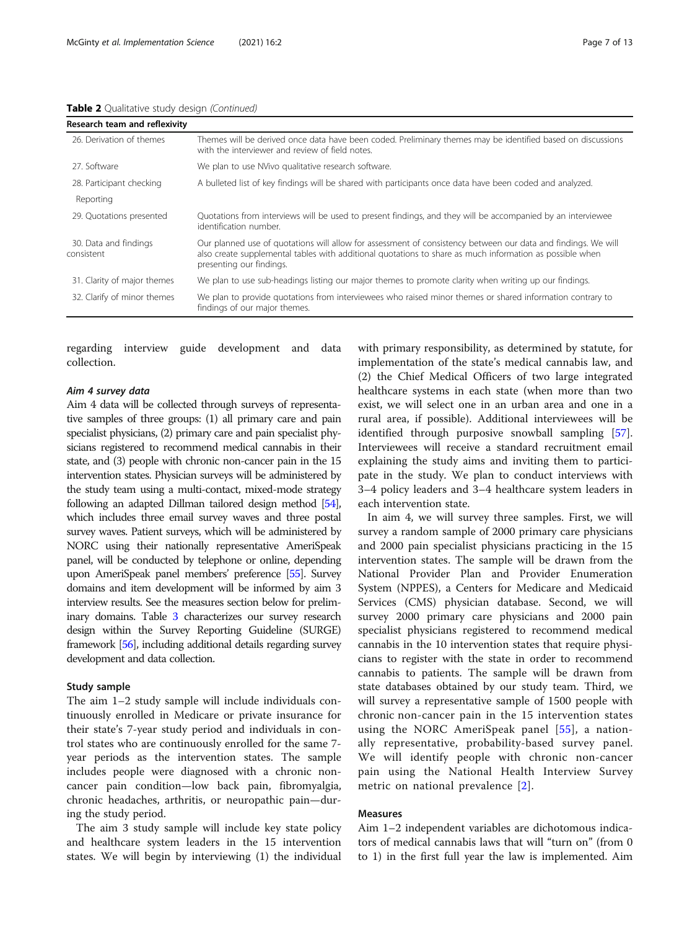| Research team and reflexivity       |                                                                                                                                                                                                                                                       |  |  |  |
|-------------------------------------|-------------------------------------------------------------------------------------------------------------------------------------------------------------------------------------------------------------------------------------------------------|--|--|--|
| 26. Derivation of themes            | Themes will be derived once data have been coded. Preliminary themes may be identified based on discussions<br>with the interviewer and review of field notes.                                                                                        |  |  |  |
| 27. Software                        | We plan to use NVivo qualitative research software.                                                                                                                                                                                                   |  |  |  |
| 28. Participant checking            | A bulleted list of key findings will be shared with participants once data have been coded and analyzed.                                                                                                                                              |  |  |  |
| Reporting                           |                                                                                                                                                                                                                                                       |  |  |  |
| 29. Quotations presented            | Quotations from interviews will be used to present findings, and they will be accompanied by an interviewee<br>identification number.                                                                                                                 |  |  |  |
| 30. Data and findings<br>consistent | Our planned use of quotations will allow for assessment of consistency between our data and findings. We will<br>also create supplemental tables with additional quotations to share as much information as possible when<br>presenting our findings. |  |  |  |
| 31. Clarity of major themes         | We plan to use sub-headings listing our major themes to promote clarity when writing up our findings.                                                                                                                                                 |  |  |  |
| 32. Clarify of minor themes         | We plan to provide quotations from interviewees who raised minor themes or shared information contrary to<br>findings of our major themes.                                                                                                            |  |  |  |

regarding interview guide development and data collection.

## Aim 4 survey data

Aim 4 data will be collected through surveys of representative samples of three groups: (1) all primary care and pain specialist physicians, (2) primary care and pain specialist physicians registered to recommend medical cannabis in their state, and (3) people with chronic non-cancer pain in the 15 intervention states. Physician surveys will be administered by the study team using a multi-contact, mixed-mode strategy following an adapted Dillman tailored design method [\[54\]](#page-11-0), which includes three email survey waves and three postal survey waves. Patient surveys, which will be administered by NORC using their nationally representative AmeriSpeak panel, will be conducted by telephone or online, depending upon AmeriSpeak panel members' preference [\[55\]](#page-11-0). Survey domains and item development will be informed by aim 3 interview results. See the measures section below for preliminary domains. Table [3](#page-7-0) characterizes our survey research design within the Survey Reporting Guideline (SURGE) framework [\[56](#page-11-0)], including additional details regarding survey development and data collection.

## Study sample

The aim 1–2 study sample will include individuals continuously enrolled in Medicare or private insurance for their state's 7-year study period and individuals in control states who are continuously enrolled for the same 7 year periods as the intervention states. The sample includes people were diagnosed with a chronic noncancer pain condition—low back pain, fibromyalgia, chronic headaches, arthritis, or neuropathic pain—during the study period.

The aim 3 study sample will include key state policy and healthcare system leaders in the 15 intervention states. We will begin by interviewing (1) the individual with primary responsibility, as determined by statute, for implementation of the state's medical cannabis law, and (2) the Chief Medical Officers of two large integrated healthcare systems in each state (when more than two exist, we will select one in an urban area and one in a rural area, if possible). Additional interviewees will be identified through purposive snowball sampling [\[57](#page-11-0)]. Interviewees will receive a standard recruitment email explaining the study aims and inviting them to participate in the study. We plan to conduct interviews with 3–4 policy leaders and 3–4 healthcare system leaders in each intervention state.

In aim 4, we will survey three samples. First, we will survey a random sample of 2000 primary care physicians and 2000 pain specialist physicians practicing in the 15 intervention states. The sample will be drawn from the National Provider Plan and Provider Enumeration System (NPPES), a Centers for Medicare and Medicaid Services (CMS) physician database. Second, we will survey 2000 primary care physicians and 2000 pain specialist physicians registered to recommend medical cannabis in the 10 intervention states that require physicians to register with the state in order to recommend cannabis to patients. The sample will be drawn from state databases obtained by our study team. Third, we will survey a representative sample of 1500 people with chronic non-cancer pain in the 15 intervention states using the NORC AmeriSpeak panel [[55](#page-11-0)], a nationally representative, probability-based survey panel. We will identify people with chronic non-cancer pain using the National Health Interview Survey metric on national prevalence [[2\]](#page-10-0).

## Measures

Aim 1–2 independent variables are dichotomous indicators of medical cannabis laws that will "turn on" (from 0 to 1) in the first full year the law is implemented. Aim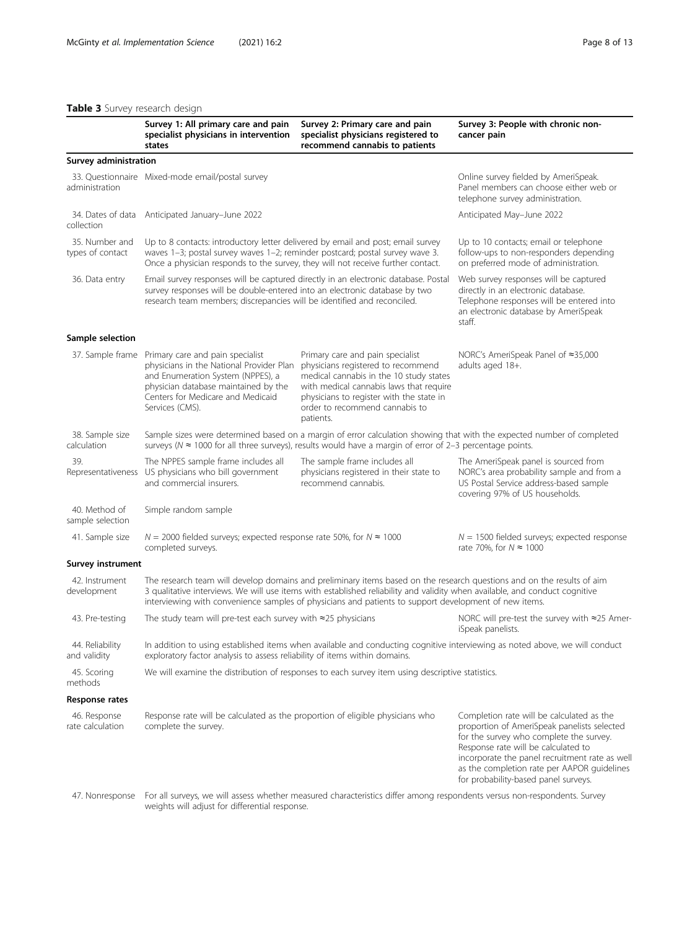## <span id="page-7-0"></span>Table 3 Survey research design

|                                    | Survey 1: All primary care and pain<br>specialist physicians in intervention<br>states                                                                                                                                                                                                                                                                         | Survey 2: Primary care and pain<br>specialist physicians registered to<br>recommend cannabis to patients                                                                                                                                                                                                            | Survey 3: People with chronic non-<br>cancer pain                                                                                                             |  |  |
|------------------------------------|----------------------------------------------------------------------------------------------------------------------------------------------------------------------------------------------------------------------------------------------------------------------------------------------------------------------------------------------------------------|---------------------------------------------------------------------------------------------------------------------------------------------------------------------------------------------------------------------------------------------------------------------------------------------------------------------|---------------------------------------------------------------------------------------------------------------------------------------------------------------|--|--|
| Survey administration              |                                                                                                                                                                                                                                                                                                                                                                |                                                                                                                                                                                                                                                                                                                     |                                                                                                                                                               |  |  |
| administration                     | 33. Questionnaire Mixed-mode email/postal survey                                                                                                                                                                                                                                                                                                               | Online survey fielded by AmeriSpeak.<br>Panel members can choose either web or<br>telephone survey administration.                                                                                                                                                                                                  |                                                                                                                                                               |  |  |
| 34. Dates of data<br>collection    | Anticipated January-June 2022                                                                                                                                                                                                                                                                                                                                  | Anticipated May-June 2022                                                                                                                                                                                                                                                                                           |                                                                                                                                                               |  |  |
| 35. Number and<br>types of contact | Up to 8 contacts: introductory letter delivered by email and post; email survey<br>waves 1-3; postal survey waves 1-2; reminder postcard; postal survey wave 3.<br>Once a physician responds to the survey, they will not receive further contact.                                                                                                             | Up to 10 contacts; email or telephone<br>follow-ups to non-responders depending<br>on preferred mode of administration.                                                                                                                                                                                             |                                                                                                                                                               |  |  |
| 36. Data entry                     | Email survey responses will be captured directly in an electronic database. Postal<br>survey responses will be double-entered into an electronic database by two<br>research team members; discrepancies will be identified and reconciled.                                                                                                                    | Web survey responses will be captured<br>directly in an electronic database.<br>Telephone responses will be entered into<br>an electronic database by AmeriSpeak<br>staff.                                                                                                                                          |                                                                                                                                                               |  |  |
| Sample selection                   |                                                                                                                                                                                                                                                                                                                                                                |                                                                                                                                                                                                                                                                                                                     |                                                                                                                                                               |  |  |
| 37. Sample frame                   | Primary care and pain specialist<br>physicians in the National Provider Plan<br>and Enumeration System (NPPES), a<br>physician database maintained by the<br>Centers for Medicare and Medicaid<br>Services (CMS).                                                                                                                                              | Primary care and pain specialist<br>physicians registered to recommend<br>medical cannabis in the 10 study states<br>with medical cannabis laws that require<br>physicians to register with the state in<br>order to recommend cannabis to<br>patients.                                                             | NORC's AmeriSpeak Panel of ≈35,000<br>adults aged 18+.                                                                                                        |  |  |
| 38. Sample size<br>calculation     | Sample sizes were determined based on a margin of error calculation showing that with the expected number of completed<br>surveys ( $N \approx 1000$ for all three surveys), results would have a margin of error of 2-3 percentage points.                                                                                                                    |                                                                                                                                                                                                                                                                                                                     |                                                                                                                                                               |  |  |
| 39.                                | The NPPES sample frame includes all<br>Representativeness US physicians who bill government<br>and commercial insurers.                                                                                                                                                                                                                                        | The sample frame includes all<br>physicians registered in their state to<br>recommend cannabis.                                                                                                                                                                                                                     | The AmeriSpeak panel is sourced from<br>NORC's area probability sample and from a<br>US Postal Service address-based sample<br>covering 97% of US households. |  |  |
| 40. Method of<br>sample selection  | Simple random sample                                                                                                                                                                                                                                                                                                                                           |                                                                                                                                                                                                                                                                                                                     |                                                                                                                                                               |  |  |
| 41. Sample size                    | $N = 2000$ fielded surveys; expected response rate 50%, for $N \approx 1000$<br>completed surveys.                                                                                                                                                                                                                                                             | $N = 1500$ fielded surveys; expected response<br>rate 70%, for $N \approx 1000$                                                                                                                                                                                                                                     |                                                                                                                                                               |  |  |
| <b>Survey instrument</b>           |                                                                                                                                                                                                                                                                                                                                                                |                                                                                                                                                                                                                                                                                                                     |                                                                                                                                                               |  |  |
| 42. Instrument<br>development      | The research team will develop domains and preliminary items based on the research questions and on the results of aim<br>3 qualitative interviews. We will use items with established reliability and validity when available, and conduct cognitive<br>interviewing with convenience samples of physicians and patients to support development of new items. |                                                                                                                                                                                                                                                                                                                     |                                                                                                                                                               |  |  |
| 43. Pre-testing                    | The study team will pre-test each survey with $\approx$ 25 physicians                                                                                                                                                                                                                                                                                          | NORC will pre-test the survey with ≈25 Amer-<br>iSpeak panelists.                                                                                                                                                                                                                                                   |                                                                                                                                                               |  |  |
| 44. Reliability<br>and validity    | exploratory factor analysis to assess reliability of items within domains.                                                                                                                                                                                                                                                                                     | In addition to using established items when available and conducting cognitive interviewing as noted above, we will conduct                                                                                                                                                                                         |                                                                                                                                                               |  |  |
| 45. Scoring<br>methods             | We will examine the distribution of responses to each survey item using descriptive statistics.                                                                                                                                                                                                                                                                |                                                                                                                                                                                                                                                                                                                     |                                                                                                                                                               |  |  |
| Response rates                     |                                                                                                                                                                                                                                                                                                                                                                |                                                                                                                                                                                                                                                                                                                     |                                                                                                                                                               |  |  |
| 46. Response<br>rate calculation   | Response rate will be calculated as the proportion of eligible physicians who<br>complete the survey.                                                                                                                                                                                                                                                          | Completion rate will be calculated as the<br>proportion of AmeriSpeak panelists selected<br>for the survey who complete the survey.<br>Response rate will be calculated to<br>incorporate the panel recruitment rate as well<br>as the completion rate per AAPOR guidelines<br>for probability-based panel surveys. |                                                                                                                                                               |  |  |
|                                    |                                                                                                                                                                                                                                                                                                                                                                |                                                                                                                                                                                                                                                                                                                     |                                                                                                                                                               |  |  |

47. Nonresponse For all surveys, we will assess whether measured characteristics differ among respondents versus non-respondents. Survey weights will adjust for differential response.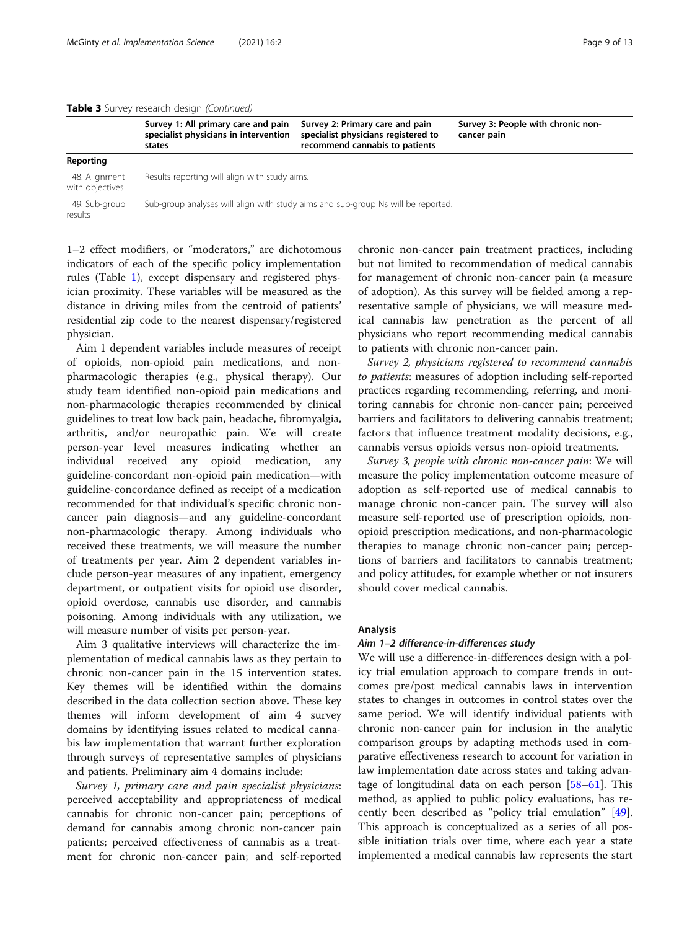#### Table 3 Survey research design (Continued)

|                                  | Survey 1: All primary care and pain<br>specialist physicians in intervention<br>states | Survey 2: Primary care and pain<br>specialist physicians registered to<br>recommend cannabis to patients | Survey 3: People with chronic non-<br>cancer pain |  |  |
|----------------------------------|----------------------------------------------------------------------------------------|----------------------------------------------------------------------------------------------------------|---------------------------------------------------|--|--|
| Reporting                        |                                                                                        |                                                                                                          |                                                   |  |  |
| 48. Alignment<br>with objectives | Results reporting will align with study aims.                                          |                                                                                                          |                                                   |  |  |
| 49. Sub-group<br>results         | Sub-group analyses will align with study aims and sub-group Ns will be reported.       |                                                                                                          |                                                   |  |  |

1–2 effect modifiers, or "moderators," are dichotomous indicators of each of the specific policy implementation rules (Table [1](#page-3-0)), except dispensary and registered physician proximity. These variables will be measured as the distance in driving miles from the centroid of patients' residential zip code to the nearest dispensary/registered physician.

Aim 1 dependent variables include measures of receipt of opioids, non-opioid pain medications, and nonpharmacologic therapies (e.g., physical therapy). Our study team identified non-opioid pain medications and non-pharmacologic therapies recommended by clinical guidelines to treat low back pain, headache, fibromyalgia, arthritis, and/or neuropathic pain. We will create person-year level measures indicating whether an individual received any opioid medication, any guideline-concordant non-opioid pain medication—with guideline-concordance defined as receipt of a medication recommended for that individual's specific chronic noncancer pain diagnosis—and any guideline-concordant non-pharmacologic therapy. Among individuals who received these treatments, we will measure the number of treatments per year. Aim 2 dependent variables include person-year measures of any inpatient, emergency department, or outpatient visits for opioid use disorder, opioid overdose, cannabis use disorder, and cannabis poisoning. Among individuals with any utilization, we will measure number of visits per person-year.

Aim 3 qualitative interviews will characterize the implementation of medical cannabis laws as they pertain to chronic non-cancer pain in the 15 intervention states. Key themes will be identified within the domains described in the data collection section above. These key themes will inform development of aim 4 survey domains by identifying issues related to medical cannabis law implementation that warrant further exploration through surveys of representative samples of physicians and patients. Preliminary aim 4 domains include:

Survey 1, primary care and pain specialist physicians: perceived acceptability and appropriateness of medical cannabis for chronic non-cancer pain; perceptions of demand for cannabis among chronic non-cancer pain patients; perceived effectiveness of cannabis as a treatment for chronic non-cancer pain; and self-reported chronic non-cancer pain treatment practices, including but not limited to recommendation of medical cannabis for management of chronic non-cancer pain (a measure of adoption). As this survey will be fielded among a representative sample of physicians, we will measure medical cannabis law penetration as the percent of all physicians who report recommending medical cannabis to patients with chronic non-cancer pain.

Survey 2, physicians registered to recommend cannabis to patients: measures of adoption including self-reported practices regarding recommending, referring, and monitoring cannabis for chronic non-cancer pain; perceived barriers and facilitators to delivering cannabis treatment; factors that influence treatment modality decisions, e.g., cannabis versus opioids versus non-opioid treatments.

Survey 3, people with chronic non-cancer pain: We will measure the policy implementation outcome measure of adoption as self-reported use of medical cannabis to manage chronic non-cancer pain. The survey will also measure self-reported use of prescription opioids, nonopioid prescription medications, and non-pharmacologic therapies to manage chronic non-cancer pain; perceptions of barriers and facilitators to cannabis treatment; and policy attitudes, for example whether or not insurers should cover medical cannabis.

#### Analysis

#### Aim 1–2 difference-in-differences study

We will use a difference-in-differences design with a policy trial emulation approach to compare trends in outcomes pre/post medical cannabis laws in intervention states to changes in outcomes in control states over the same period. We will identify individual patients with chronic non-cancer pain for inclusion in the analytic comparison groups by adapting methods used in comparative effectiveness research to account for variation in law implementation date across states and taking advantage of longitudinal data on each person [\[58](#page-11-0)–[61\]](#page-11-0). This method, as applied to public policy evaluations, has recently been described as "policy trial emulation" [\[49](#page-11-0)]. This approach is conceptualized as a series of all possible initiation trials over time, where each year a state implemented a medical cannabis law represents the start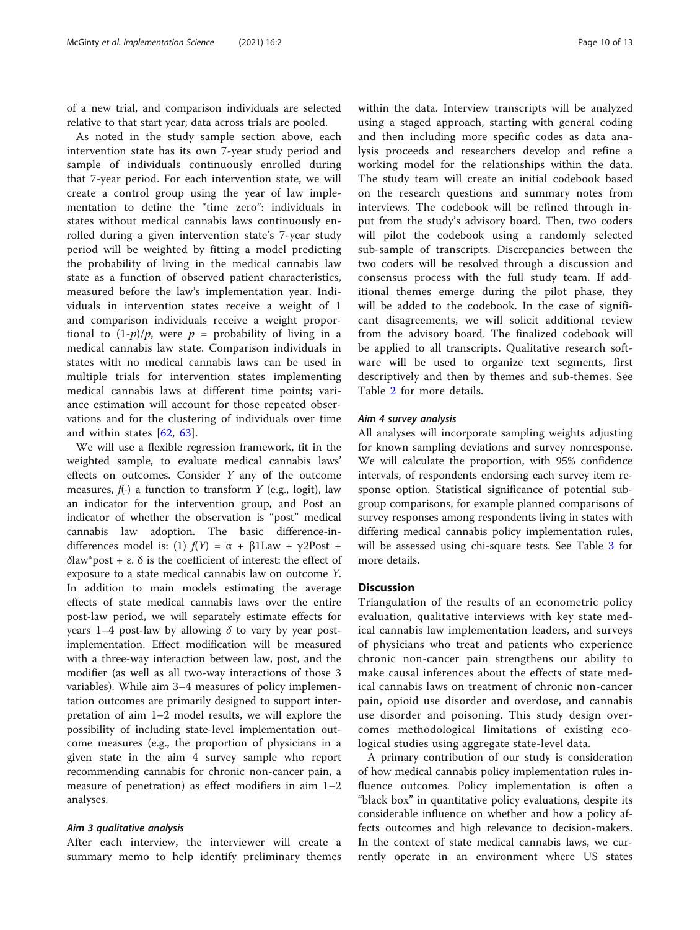of a new trial, and comparison individuals are selected relative to that start year; data across trials are pooled.

As noted in the study sample section above, each intervention state has its own 7-year study period and sample of individuals continuously enrolled during that 7-year period. For each intervention state, we will create a control group using the year of law implementation to define the "time zero": individuals in states without medical cannabis laws continuously enrolled during a given intervention state's 7-year study period will be weighted by fitting a model predicting the probability of living in the medical cannabis law state as a function of observed patient characteristics, measured before the law's implementation year. Individuals in intervention states receive a weight of 1 and comparison individuals receive a weight proportional to  $(1-p)/p$ , were  $p =$  probability of living in a medical cannabis law state. Comparison individuals in states with no medical cannabis laws can be used in multiple trials for intervention states implementing medical cannabis laws at different time points; variance estimation will account for those repeated observations and for the clustering of individuals over time and within states [[62,](#page-12-0) [63\]](#page-12-0).

We will use a flexible regression framework, fit in the weighted sample, to evaluate medical cannabis laws' effects on outcomes. Consider Y any of the outcome measures,  $f(\cdot)$  a function to transform Y (e.g., logit), law an indicator for the intervention group, and Post an indicator of whether the observation is "post" medical cannabis law adoption. The basic difference-indifferences model is: (1)  $f(Y) = \alpha + \beta 1$ Law + γ2Post + δlaw\*post + ε. δ is the coefficient of interest: the effect of exposure to a state medical cannabis law on outcome Y. In addition to main models estimating the average effects of state medical cannabis laws over the entire post-law period, we will separately estimate effects for years 1–4 post-law by allowing  $\delta$  to vary by year postimplementation. Effect modification will be measured with a three-way interaction between law, post, and the modifier (as well as all two-way interactions of those 3 variables). While aim 3–4 measures of policy implementation outcomes are primarily designed to support interpretation of aim 1–2 model results, we will explore the possibility of including state-level implementation outcome measures (e.g., the proportion of physicians in a given state in the aim 4 survey sample who report recommending cannabis for chronic non-cancer pain, a measure of penetration) as effect modifiers in aim 1–2 analyses.

#### Aim 3 qualitative analysis

After each interview, the interviewer will create a summary memo to help identify preliminary themes within the data. Interview transcripts will be analyzed using a staged approach, starting with general coding and then including more specific codes as data analysis proceeds and researchers develop and refine a working model for the relationships within the data. The study team will create an initial codebook based on the research questions and summary notes from interviews. The codebook will be refined through input from the study's advisory board. Then, two coders will pilot the codebook using a randomly selected sub-sample of transcripts. Discrepancies between the two coders will be resolved through a discussion and consensus process with the full study team. If additional themes emerge during the pilot phase, they will be added to the codebook. In the case of significant disagreements, we will solicit additional review from the advisory board. The finalized codebook will be applied to all transcripts. Qualitative research software will be used to organize text segments, first descriptively and then by themes and sub-themes. See Table [2](#page-5-0) for more details.

#### Aim 4 survey analysis

All analyses will incorporate sampling weights adjusting for known sampling deviations and survey nonresponse. We will calculate the proportion, with 95% confidence intervals, of respondents endorsing each survey item response option. Statistical significance of potential subgroup comparisons, for example planned comparisons of survey responses among respondents living in states with differing medical cannabis policy implementation rules, will be assessed using chi-square tests. See Table [3](#page-7-0) for more details.

#### **Discussion**

Triangulation of the results of an econometric policy evaluation, qualitative interviews with key state medical cannabis law implementation leaders, and surveys of physicians who treat and patients who experience chronic non-cancer pain strengthens our ability to make causal inferences about the effects of state medical cannabis laws on treatment of chronic non-cancer pain, opioid use disorder and overdose, and cannabis use disorder and poisoning. This study design overcomes methodological limitations of existing ecological studies using aggregate state-level data.

A primary contribution of our study is consideration of how medical cannabis policy implementation rules influence outcomes. Policy implementation is often a "black box" in quantitative policy evaluations, despite its considerable influence on whether and how a policy affects outcomes and high relevance to decision-makers. In the context of state medical cannabis laws, we currently operate in an environment where US states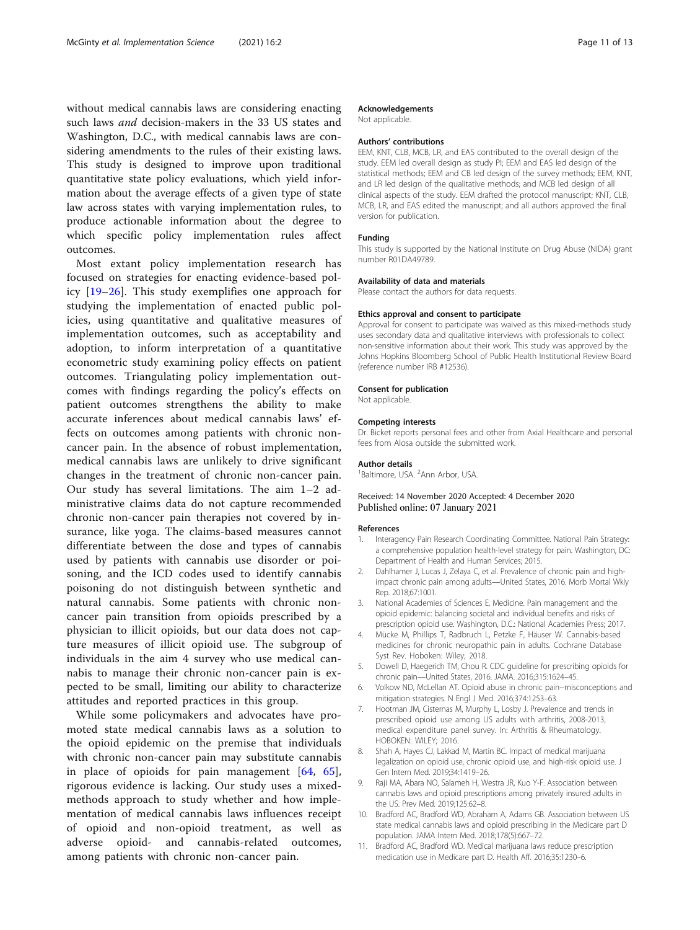<span id="page-10-0"></span>without medical cannabis laws are considering enacting such laws and decision-makers in the 33 US states and Washington, D.C., with medical cannabis laws are considering amendments to the rules of their existing laws. This study is designed to improve upon traditional quantitative state policy evaluations, which yield information about the average effects of a given type of state law across states with varying implementation rules, to produce actionable information about the degree to which specific policy implementation rules affect outcomes.

Most extant policy implementation research has focused on strategies for enacting evidence-based policy [\[19](#page-11-0)–[26\]](#page-11-0). This study exemplifies one approach for studying the implementation of enacted public policies, using quantitative and qualitative measures of implementation outcomes, such as acceptability and adoption, to inform interpretation of a quantitative econometric study examining policy effects on patient outcomes. Triangulating policy implementation outcomes with findings regarding the policy's effects on patient outcomes strengthens the ability to make accurate inferences about medical cannabis laws' effects on outcomes among patients with chronic noncancer pain. In the absence of robust implementation, medical cannabis laws are unlikely to drive significant changes in the treatment of chronic non-cancer pain. Our study has several limitations. The aim 1–2 administrative claims data do not capture recommended chronic non-cancer pain therapies not covered by insurance, like yoga. The claims-based measures cannot differentiate between the dose and types of cannabis used by patients with cannabis use disorder or poisoning, and the ICD codes used to identify cannabis poisoning do not distinguish between synthetic and natural cannabis. Some patients with chronic noncancer pain transition from opioids prescribed by a physician to illicit opioids, but our data does not capture measures of illicit opioid use. The subgroup of individuals in the aim 4 survey who use medical cannabis to manage their chronic non-cancer pain is expected to be small, limiting our ability to characterize attitudes and reported practices in this group.

While some policymakers and advocates have promoted state medical cannabis laws as a solution to the opioid epidemic on the premise that individuals with chronic non-cancer pain may substitute cannabis in place of opioids for pain management [\[64](#page-12-0), [65](#page-12-0)], rigorous evidence is lacking. Our study uses a mixedmethods approach to study whether and how implementation of medical cannabis laws influences receipt of opioid and non-opioid treatment, as well as adverse opioid- and cannabis-related outcomes, among patients with chronic non-cancer pain.

#### Acknowledgements

Not applicable.

#### Authors' contributions

EEM, KNT, CLB, MCB, LR, and EAS contributed to the overall design of the study. EEM led overall design as study PI; EEM and EAS led design of the statistical methods; EEM and CB led design of the survey methods; EEM, KNT, and LR led design of the qualitative methods; and MCB led design of all clinical aspects of the study. EEM drafted the protocol manuscript; KNT, CLB, MCB, LR, and EAS edited the manuscript; and all authors approved the final version for publication.

#### Funding

This study is supported by the National Institute on Drug Abuse (NIDA) grant number R01DA49789.

#### Availability of data and materials

Please contact the authors for data requests.

#### Ethics approval and consent to participate

Approval for consent to participate was waived as this mixed-methods study uses secondary data and qualitative interviews with professionals to collect non-sensitive information about their work. This study was approved by the Johns Hopkins Bloomberg School of Public Health Institutional Review Board (reference number IRB #12536).

#### Consent for publication Not applicable.

#### Competing interests

Dr. Bicket reports personal fees and other from Axial Healthcare and personal fees from Alosa outside the submitted work.

#### Author details

<sup>1</sup>Baltimore, USA. <sup>2</sup>Ann Arbor, USA.

#### Received: 14 November 2020 Accepted: 4 December 2020 Published online: 07 January 2021

#### References

- 1. Interagency Pain Research Coordinating Committee. National Pain Strategy: a comprehensive population health-level strategy for pain. Washington, DC: Department of Health and Human Services; 2015.
- 2. Dahlhamer J, Lucas J, Zelaya C, et al. Prevalence of chronic pain and highimpact chronic pain among adults—United States, 2016. Morb Mortal Wkly Rep. 2018;67:1001.
- 3. National Academies of Sciences E, Medicine. Pain management and the opioid epidemic: balancing societal and individual benefits and risks of prescription opioid use. Washington, D.C.: National Academies Press; 2017.
- 4. Mücke M, Phillips T, Radbruch L, Petzke F, Häuser W. Cannabis-based medicines for chronic neuropathic pain in adults. Cochrane Database Syst Rev. Hoboken: Wiley; 2018.
- 5. Dowell D, Haegerich TM, Chou R. CDC guideline for prescribing opioids for chronic pain—United States, 2016. JAMA. 2016;315:1624–45.
- 6. Volkow ND, McLellan AT. Opioid abuse in chronic pain--misconceptions and mitigation strategies. N Engl J Med. 2016;374:1253–63.
- 7. Hootman JM, Cisternas M, Murphy L, Losby J. Prevalence and trends in prescribed opioid use among US adults with arthritis, 2008-2013, medical expenditure panel survey. In: Arthritis & Rheumatology. HOBOKEN: WILEY; 2016.
- 8. Shah A, Hayes CJ, Lakkad M, Martin BC. Impact of medical marijuana legalization on opioid use, chronic opioid use, and high-risk opioid use. J Gen Intern Med. 2019;34:1419–26.
- 9. Raji MA, Abara NO, Salameh H, Westra JR, Kuo Y-F. Association between cannabis laws and opioid prescriptions among privately insured adults in the US. Prev Med. 2019;125:62–8.
- 10. Bradford AC, Bradford WD, Abraham A, Adams GB. Association between US state medical cannabis laws and opioid prescribing in the Medicare part D population. JAMA Intern Med. 2018;178(5):667–72.
- 11. Bradford AC, Bradford WD. Medical marijuana laws reduce prescription medication use in Medicare part D. Health Aff. 2016;35:1230–6.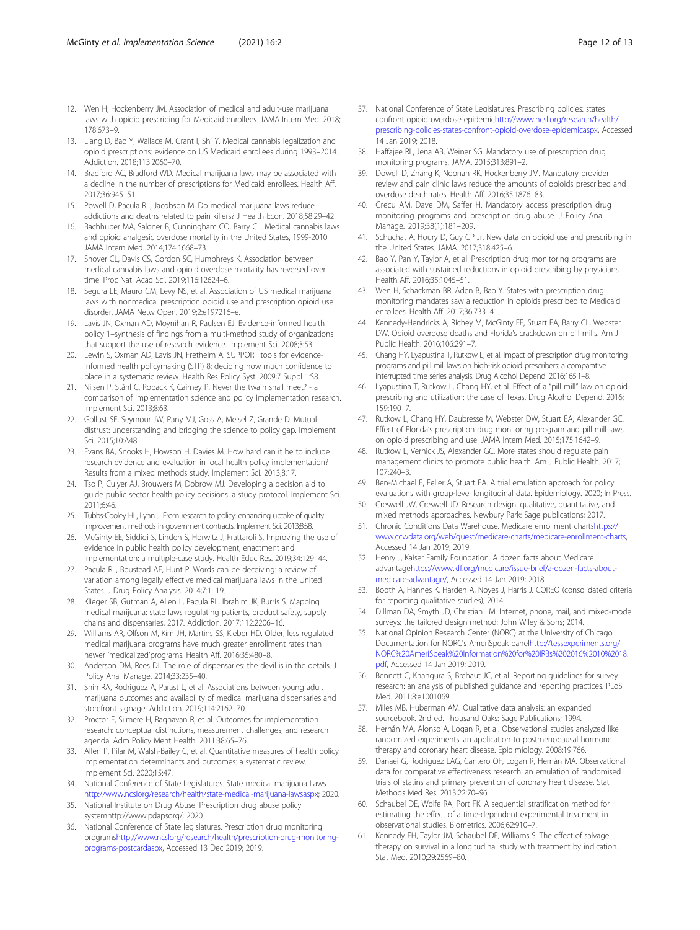- <span id="page-11-0"></span>12. Wen H, Hockenberry JM. Association of medical and adult-use marijuana laws with opioid prescribing for Medicaid enrollees. JAMA Intern Med. 2018; 178:673–9.
- 13. Liang D, Bao Y, Wallace M, Grant I, Shi Y. Medical cannabis legalization and opioid prescriptions: evidence on US Medicaid enrollees during 1993–2014. Addiction. 2018;113:2060–70.
- 14. Bradford AC, Bradford WD. Medical marijuana laws may be associated with a decline in the number of prescriptions for Medicaid enrollees. Health Aff. 2017;36:945–51.
- 15. Powell D, Pacula RL, Jacobson M. Do medical marijuana laws reduce addictions and deaths related to pain killers? J Health Econ. 2018;58:29–42.
- 16. Bachhuber MA, Saloner B, Cunningham CO, Barry CL. Medical cannabis laws and opioid analgesic overdose mortality in the United States, 1999-2010. JAMA Intern Med. 2014;174:1668–73.
- 17. Shover CL, Davis CS, Gordon SC, Humphreys K. Association between medical cannabis laws and opioid overdose mortality has reversed over time. Proc Natl Acad Sci. 2019;116:12624–6.
- 18. Segura LE, Mauro CM, Levy NS, et al. Association of US medical marijuana laws with nonmedical prescription opioid use and prescription opioid use disorder. JAMA Netw Open. 2019;2:e197216–e.
- 19. Lavis JN, Oxman AD, Moynihan R, Paulsen EJ. Evidence-informed health policy 1–synthesis of findings from a multi-method study of organizations that support the use of research evidence. Implement Sci. 2008;3:53.
- 20. Lewin S, Oxman AD, Lavis JN, Fretheim A. SUPPORT tools for evidenceinformed health policymaking (STP) 8: deciding how much confidence to place in a systematic review. Health Res Policy Syst. 2009;7 Suppl 1:S8.
- 21. Nilsen P, Ståhl C, Roback K, Cairney P. Never the twain shall meet? a comparison of implementation science and policy implementation research. Implement Sci. 2013;8:63.
- 22. Gollust SE, Seymour JW, Pany MJ, Goss A, Meisel Z, Grande D. Mutual distrust: understanding and bridging the science to policy gap. Implement Sci. 2015;10:A48.
- 23. Evans BA, Snooks H, Howson H, Davies M. How hard can it be to include research evidence and evaluation in local health policy implementation? Results from a mixed methods study. Implement Sci. 2013;8:17.
- 24. Tso P, Culyer AJ, Brouwers M, Dobrow MJ. Developing a decision aid to guide public sector health policy decisions: a study protocol. Implement Sci. 2011;6:46.
- 25. Tubbs-Cooley HL, Lynn J. From research to policy: enhancing uptake of quality improvement methods in government contracts. Implement Sci. 2013;8:S8.
- 26. McGinty EE, Siddiqi S, Linden S, Horwitz J, Frattaroli S. Improving the use of evidence in public health policy development, enactment and implementation: a multiple-case study. Health Educ Res. 2019;34:129–44.
- 27. Pacula RL, Boustead AE, Hunt P. Words can be deceiving: a review of variation among legally effective medical marijuana laws in the United States. J Drug Policy Analysis. 2014;7:1–19.
- 28. Klieger SB, Gutman A, Allen L, Pacula RL, Ibrahim JK, Burris S. Mapping medical marijuana: state laws regulating patients, product safety, supply chains and dispensaries, 2017. Addiction. 2017;112:2206–16.
- 29. Williams AR, Olfson M, Kim JH, Martins SS, Kleber HD. Older, less regulated medical marijuana programs have much greater enrollment rates than newer 'medicalized'programs. Health Aff. 2016;35:480–8.
- 30. Anderson DM, Rees DI. The role of dispensaries: the devil is in the details. J Policy Anal Manage. 2014;33:235–40.
- 31. Shih RA, Rodriguez A, Parast L, et al. Associations between young adult marijuana outcomes and availability of medical marijuana dispensaries and storefront signage. Addiction. 2019;114:2162–70.
- 32. Proctor E, Silmere H, Raghavan R, et al. Outcomes for implementation research: conceptual distinctions, measurement challenges, and research agenda. Adm Policy Ment Health. 2011;38:65–76.
- 33. Allen P, Pilar M, Walsh-Bailey C, et al. Quantitative measures of health policy implementation determinants and outcomes: a systematic review. Implement Sci. 2020;15:47.
- 34. National Conference of State Legislatures. State medical marijuana Laws [http://www.ncslorg/research/health/state-medical-marijuana-lawsaspx;](http://www.ncslorg/research/health/state-medical-marijuana-lawsaspx) 2020.
- 35. National Institute on Drug Abuse. Prescription drug abuse policy systemhttp://www.pdapsorg/; 2020.
- 36. National Conference of State legislatures. Prescription drug monitoring programs[http://www.ncslorg/research/health/prescription-drug-monitoring](http://www.ncslorg/research/health/prescription-drug-monitoring-programs-postcardaspx)[programs-postcardaspx](http://www.ncslorg/research/health/prescription-drug-monitoring-programs-postcardaspx), Accessed 13 Dec 2019; 2019.
- 37. National Conference of State Legislatures. Prescribing policies: states confront opioid overdose epidemi[chttp://www.ncsl.org/research/health/](http://www.ncsl.org/research/health/prescribing-policies-states-confront-opioid-overdose-epidemicaspx) [prescribing-policies-states-confront-opioid-overdose-epidemicaspx,](http://www.ncsl.org/research/health/prescribing-policies-states-confront-opioid-overdose-epidemicaspx) Accessed 14 Jan 2019; 2018.
- 38. Haffajee RL, Jena AB, Weiner SG. Mandatory use of prescription drug monitoring programs. JAMA. 2015;313:891–2.
- 39. Dowell D, Zhang K, Noonan RK, Hockenberry JM. Mandatory provider review and pain clinic laws reduce the amounts of opioids prescribed and overdose death rates. Health Aff. 2016;35:1876–83.
- 40. Grecu AM, Dave DM, Saffer H. Mandatory access prescription drug monitoring programs and prescription drug abuse. J Policy Anal Manage. 2019;38(1):181–209.
- 41. Schuchat A, Houry D, Guy GP Jr. New data on opioid use and prescribing in the United States. JAMA. 2017;318:425–6.
- 42. Bao Y, Pan Y, Taylor A, et al. Prescription drug monitoring programs are associated with sustained reductions in opioid prescribing by physicians. Health Aff. 2016;35:1045–51.
- 43. Wen H, Schackman BR, Aden B, Bao Y. States with prescription drug monitoring mandates saw a reduction in opioids prescribed to Medicaid enrollees. Health Aff. 2017;36:733–41.
- 44. Kennedy-Hendricks A, Richey M, McGinty EE, Stuart EA, Barry CL, Webster DW. Opioid overdose deaths and Florida's crackdown on pill mills. Am J Public Health. 2016;106:291–7.
- 45. Chang HY, Lyapustina T, Rutkow L, et al. Impact of prescription drug monitoring programs and pill mill laws on high-risk opioid prescribers: a comparative interrupted time series analysis. Drug Alcohol Depend. 2016;165:1–8.
- 46. Lyapustina T, Rutkow L, Chang HY, et al. Effect of a "pill mill" law on opioid prescribing and utilization: the case of Texas. Drug Alcohol Depend. 2016; 159:190–7.
- 47. Rutkow L, Chang HY, Daubresse M, Webster DW, Stuart EA, Alexander GC. Effect of Florida's prescription drug monitoring program and pill mill laws on opioid prescribing and use. JAMA Intern Med. 2015;175:1642–9.
- 48. Rutkow L, Vernick JS, Alexander GC. More states should regulate pain management clinics to promote public health. Am J Public Health. 2017;  $107.240 - 3$
- 49. Ben-Michael E, Feller A, Stuart EA. A trial emulation approach for policy evaluations with group-level longitudinal data. Epidemiology. 2020; In Press.
- 50. Creswell JW, Creswell JD. Research design: qualitative, quantitative, and mixed methods approaches. Newbury Park: Sage publications; 2017.
- 51. Chronic Conditions Data Warehouse. Medicare enrollment chart[shttps://](https://www.ccwdata.org/web/guest/medicare-charts/medicare-enrollment-charts) [www.ccwdata.org/web/guest/medicare-charts/medicare-enrollment-charts,](https://www.ccwdata.org/web/guest/medicare-charts/medicare-enrollment-charts) Accessed 14 Jan 2019; 2019.
- 52. Henry J, Kaiser Family Foundation. A dozen facts about Medicare advantage[https://www.kff.org/medicare/issue-brief/a-dozen-facts-about](https://www.kff.org/medicare/issue-brief/a-dozen-facts-about-medicare-advantage/)[medicare-advantage/](https://www.kff.org/medicare/issue-brief/a-dozen-facts-about-medicare-advantage/), Accessed 14 Jan 2019; 2018.
- 53. Booth A, Hannes K, Harden A, Noyes J, Harris J. COREQ (consolidated criteria for reporting qualitative studies); 2014.
- 54. Dillman DA, Smyth JD, Christian LM. Internet, phone, mail, and mixed-mode surveys: the tailored design method: John Wiley & Sons; 2014.
- 55. National Opinion Research Center (NORC) at the University of Chicago. Documentation for NORC's AmeriSpeak panel[http://tessexperiments.org/](http://tessexperiments.org/NORC%20AmeriSpeak%20Information%20for%20IRBs%202016%2010%2018.pdf) [NORC%20AmeriSpeak%20Information%20for%20IRBs%202016%2010%2018.](http://tessexperiments.org/NORC%20AmeriSpeak%20Information%20for%20IRBs%202016%2010%2018.pdf) [pdf](http://tessexperiments.org/NORC%20AmeriSpeak%20Information%20for%20IRBs%202016%2010%2018.pdf), Accessed 14 Jan 2019; 2019.
- 56. Bennett C, Khangura S, Brehaut JC, et al. Reporting guidelines for survey research: an analysis of published guidance and reporting practices. PLoS Med. 2011;8:e1001069.
- 57. Miles MB, Huberman AM. Qualitative data analysis: an expanded sourcebook. 2nd ed. Thousand Oaks: Sage Publications; 1994.
- 58. Hernán MA, Alonso A, Logan R, et al. Observational studies analyzed like randomized experiments: an application to postmenopausal hormone therapy and coronary heart disease. Epidimiology. 2008;19:766.
- 59. Danaei G, Rodríguez LAG, Cantero OF, Logan R, Hernán MA. Observational data for comparative effectiveness research: an emulation of randomised trials of statins and primary prevention of coronary heart disease. Stat Methods Med Res. 2013;22:70–96.
- 60. Schaubel DE, Wolfe RA, Port FK. A sequential stratification method for estimating the effect of a time-dependent experimental treatment in observational studies. Biometrics. 2006;62:910–7.
- 61. Kennedy EH, Taylor JM, Schaubel DE, Williams S. The effect of salvage therapy on survival in a longitudinal study with treatment by indication. Stat Med. 2010;29:2569–80.